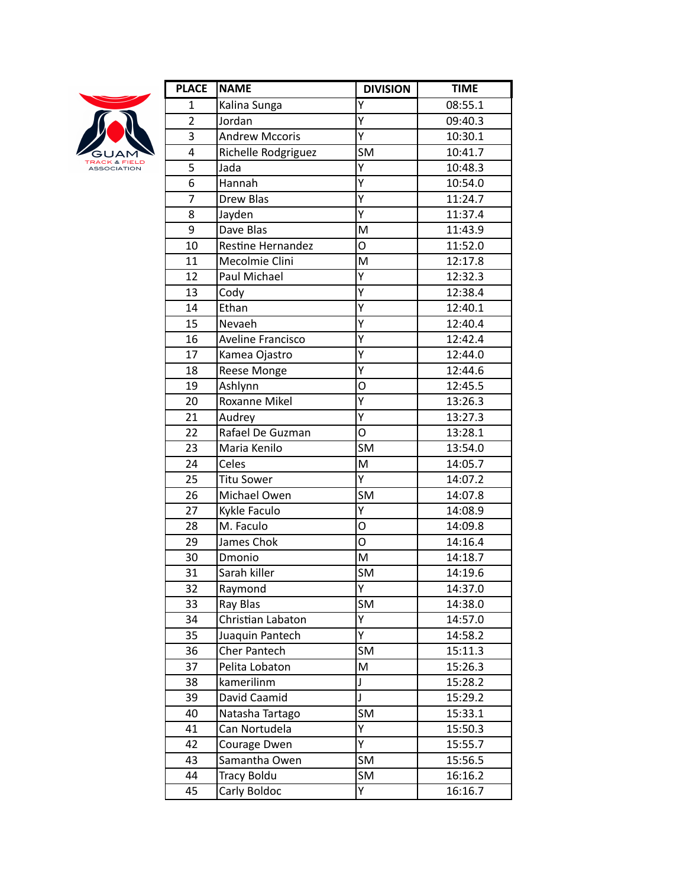

| <b>NAME</b>           | <b>DIVISION</b>                                                                                                                                                                                                                                                                                                                                                                                                           | <b>TIME</b>                                                                                                  |
|-----------------------|---------------------------------------------------------------------------------------------------------------------------------------------------------------------------------------------------------------------------------------------------------------------------------------------------------------------------------------------------------------------------------------------------------------------------|--------------------------------------------------------------------------------------------------------------|
| Kalina Sunga          | Υ                                                                                                                                                                                                                                                                                                                                                                                                                         | 08:55.1                                                                                                      |
| Jordan                | Ý                                                                                                                                                                                                                                                                                                                                                                                                                         | 09:40.3                                                                                                      |
| <b>Andrew Mccoris</b> | $\overline{Y}$                                                                                                                                                                                                                                                                                                                                                                                                            | 10:30.1                                                                                                      |
|                       | <b>SM</b>                                                                                                                                                                                                                                                                                                                                                                                                                 | 10:41.7                                                                                                      |
| Jada                  | Y                                                                                                                                                                                                                                                                                                                                                                                                                         | 10:48.3                                                                                                      |
| Hannah                | $\overline{\mathsf{Y}}$                                                                                                                                                                                                                                                                                                                                                                                                   | 10:54.0                                                                                                      |
| <b>Drew Blas</b>      | Y                                                                                                                                                                                                                                                                                                                                                                                                                         | 11:24.7                                                                                                      |
|                       | Ý                                                                                                                                                                                                                                                                                                                                                                                                                         | 11:37.4                                                                                                      |
| Dave Blas             | M                                                                                                                                                                                                                                                                                                                                                                                                                         | 11:43.9                                                                                                      |
|                       | O                                                                                                                                                                                                                                                                                                                                                                                                                         | 11:52.0                                                                                                      |
|                       | M                                                                                                                                                                                                                                                                                                                                                                                                                         | 12:17.8                                                                                                      |
| Paul Michael          | Y                                                                                                                                                                                                                                                                                                                                                                                                                         | 12:32.3                                                                                                      |
|                       |                                                                                                                                                                                                                                                                                                                                                                                                                           | 12:38.4                                                                                                      |
|                       | Ý                                                                                                                                                                                                                                                                                                                                                                                                                         | 12:40.1                                                                                                      |
|                       |                                                                                                                                                                                                                                                                                                                                                                                                                           | 12:40.4                                                                                                      |
|                       |                                                                                                                                                                                                                                                                                                                                                                                                                           | 12:42.4                                                                                                      |
|                       |                                                                                                                                                                                                                                                                                                                                                                                                                           | 12:44.0                                                                                                      |
|                       |                                                                                                                                                                                                                                                                                                                                                                                                                           | 12:44.6                                                                                                      |
|                       |                                                                                                                                                                                                                                                                                                                                                                                                                           | 12:45.5                                                                                                      |
|                       |                                                                                                                                                                                                                                                                                                                                                                                                                           | 13:26.3                                                                                                      |
|                       |                                                                                                                                                                                                                                                                                                                                                                                                                           | 13:27.3                                                                                                      |
|                       |                                                                                                                                                                                                                                                                                                                                                                                                                           | 13:28.1                                                                                                      |
|                       |                                                                                                                                                                                                                                                                                                                                                                                                                           | 13:54.0                                                                                                      |
|                       |                                                                                                                                                                                                                                                                                                                                                                                                                           | 14:05.7                                                                                                      |
|                       | Ÿ                                                                                                                                                                                                                                                                                                                                                                                                                         | 14:07.2                                                                                                      |
| Michael Owen          | <b>SM</b>                                                                                                                                                                                                                                                                                                                                                                                                                 | 14:07.8                                                                                                      |
|                       | Y                                                                                                                                                                                                                                                                                                                                                                                                                         | 14:08.9                                                                                                      |
| M. Faculo             | O                                                                                                                                                                                                                                                                                                                                                                                                                         | 14:09.8                                                                                                      |
|                       | O                                                                                                                                                                                                                                                                                                                                                                                                                         | 14:16.4                                                                                                      |
| Dmonio                | M                                                                                                                                                                                                                                                                                                                                                                                                                         | 14:18.7                                                                                                      |
| Sarah killer          |                                                                                                                                                                                                                                                                                                                                                                                                                           | 14:19.6                                                                                                      |
|                       | Υ                                                                                                                                                                                                                                                                                                                                                                                                                         | 14:37.0                                                                                                      |
| Ray Blas              | <b>SM</b>                                                                                                                                                                                                                                                                                                                                                                                                                 | 14:38.0                                                                                                      |
| Christian Labaton     | Υ                                                                                                                                                                                                                                                                                                                                                                                                                         | 14:57.0                                                                                                      |
|                       | Υ                                                                                                                                                                                                                                                                                                                                                                                                                         | 14:58.2                                                                                                      |
|                       |                                                                                                                                                                                                                                                                                                                                                                                                                           | 15:11.3                                                                                                      |
|                       |                                                                                                                                                                                                                                                                                                                                                                                                                           | 15:26.3                                                                                                      |
|                       |                                                                                                                                                                                                                                                                                                                                                                                                                           | 15:28.2                                                                                                      |
| David Caamid          | J                                                                                                                                                                                                                                                                                                                                                                                                                         | 15:29.2                                                                                                      |
|                       | <b>SM</b>                                                                                                                                                                                                                                                                                                                                                                                                                 | 15:33.1                                                                                                      |
| Can Nortudela         | Υ                                                                                                                                                                                                                                                                                                                                                                                                                         | 15:50.3                                                                                                      |
|                       | Y                                                                                                                                                                                                                                                                                                                                                                                                                         | 15:55.7                                                                                                      |
| Samantha Owen         | <b>SM</b>                                                                                                                                                                                                                                                                                                                                                                                                                 | 15:56.5                                                                                                      |
| <b>Tracy Boldu</b>    | <b>SM</b>                                                                                                                                                                                                                                                                                                                                                                                                                 | 16:16.2                                                                                                      |
| Carly Boldoc          | Y.                                                                                                                                                                                                                                                                                                                                                                                                                        | 16:16.7                                                                                                      |
|                       | Richelle Rodgriguez<br>Jayden<br>Restine Hernandez<br>Mecolmie Clini<br>Cody<br>Ethan<br>Nevaeh<br><b>Aveline Francisco</b><br>Kamea Ojastro<br>Reese Monge<br>Ashlynn<br><b>Roxanne Mikel</b><br>Audrey<br>Rafael De Guzman<br>Maria Kenilo<br>Celes<br><b>Titu Sower</b><br>Kykle Faculo<br>James Chok<br>Raymond<br>Juaquin Pantech<br>Cher Pantech<br>Pelita Lobaton<br>kamerilinm<br>Natasha Tartago<br>Courage Dwen | Υ<br>Ý<br>Υ<br>Ý<br>Ý<br>O<br>Y<br>Ý<br>O<br><b>SM</b><br>M<br>$\overline{\text{SM}}$<br><b>SM</b><br>M<br>J |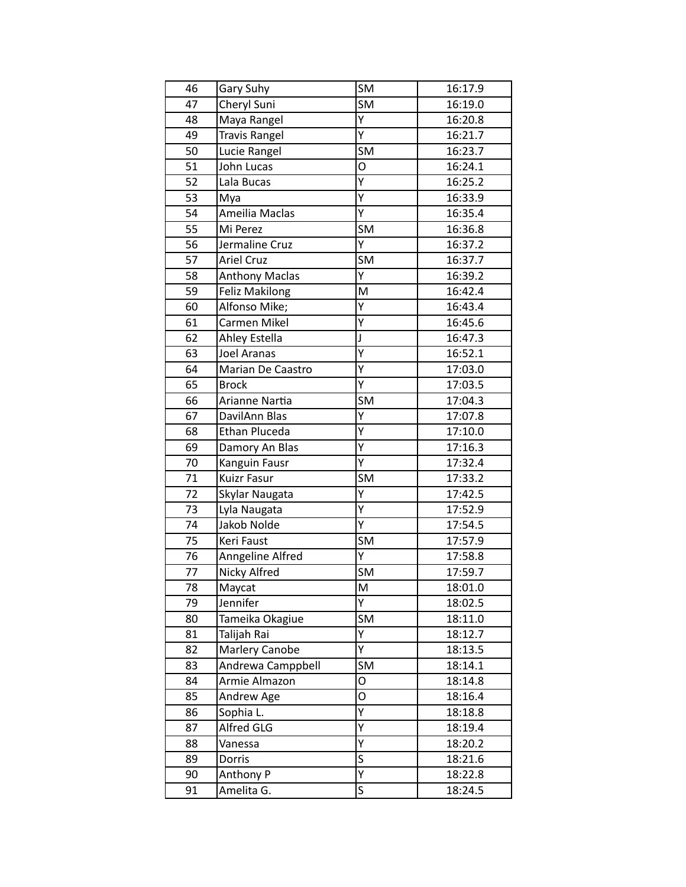| 46              | Gary Suhy             | <b>SM</b>               | 16:17.9 |
|-----------------|-----------------------|-------------------------|---------|
| 47              | Cheryl Suni           | <b>SM</b>               | 16:19.0 |
| 48              | Maya Rangel           | Υ                       | 16:20.8 |
| 49              | <b>Travis Rangel</b>  | Υ                       | 16:21.7 |
| 50              | Lucie Rangel          | <b>SM</b>               | 16:23.7 |
| 51              | John Lucas            | O                       | 16:24.1 |
| 52              | Lala Bucas            | Υ                       | 16:25.2 |
| $\overline{53}$ | Mya                   | Υ                       | 16:33.9 |
| 54              | Ameilia Maclas        | Υ                       | 16:35.4 |
| 55              | Mi Perez              | <b>SM</b>               | 16:36.8 |
| 56              | Jermaline Cruz        | Ý                       | 16:37.2 |
| 57              | <b>Ariel Cruz</b>     | <b>SM</b>               | 16:37.7 |
| 58              | <b>Anthony Maclas</b> | Υ                       | 16:39.2 |
| 59              | <b>Feliz Makilong</b> | M                       | 16:42.4 |
| 60              | Alfonso Mike;         | Y                       | 16:43.4 |
| 61              | Carmen Mikel          | Υ                       | 16:45.6 |
| 62              | Ahley Estella         | J                       | 16:47.3 |
| 63              | <b>Joel Aranas</b>    | Y                       | 16:52.1 |
| 64              | Marian De Caastro     | Υ                       | 17:03.0 |
| 65              | <b>Brock</b>          | Υ                       | 17:03.5 |
| 66              | Arianne Nartia        | <b>SM</b>               | 17:04.3 |
| 67              | DavilAnn Blas         | Ÿ                       | 17:07.8 |
| 68              | <b>Ethan Pluceda</b>  | Υ                       | 17:10.0 |
| 69              | Damory An Blas        | Υ                       | 17:16.3 |
| 70              | Kanguin Fausr         | Y                       | 17:32.4 |
| 71              | <b>Kuizr Fasur</b>    | <b>SM</b>               | 17:33.2 |
| 72              | Skylar Naugata        | Υ                       | 17:42.5 |
| 73              | Lyla Naugata          | Υ                       | 17:52.9 |
| 74              | Jakob Nolde           | Υ                       | 17:54.5 |
| 75              | Keri Faust            | <b>SM</b>               | 17:57.9 |
| 76              | Anngeline Alfred      | Ÿ                       | 17:58.8 |
| 77              | Nicky Alfred          | <b>SM</b>               | 17:59.7 |
| 78              | Maycat                | M                       | 18:01.0 |
| 79              | Jennifer              | Y                       | 18:02.5 |
| 80              | Tameika Okagiue       | <b>SM</b>               | 18:11.0 |
| 81              | Talijah Rai           | Υ                       | 18:12.7 |
| 82              | Marlery Canobe        | Υ                       | 18:13.5 |
| 83              | Andrewa Camppbell     | <b>SM</b>               | 18:14.1 |
| 84              | Armie Almazon         | O                       | 18:14.8 |
| 85              | Andrew Age            | 0                       | 18:16.4 |
| 86              | Sophia L.             | Υ                       | 18:18.8 |
| 87              | Alfred GLG            | Υ                       | 18:19.4 |
| 88              | Vanessa               | Y                       | 18:20.2 |
| 89              | Dorris                | $\overline{\mathsf{s}}$ | 18:21.6 |
| 90              | Anthony P             | Υ                       | 18:22.8 |
| 91              | Amelita G.            | S                       | 18:24.5 |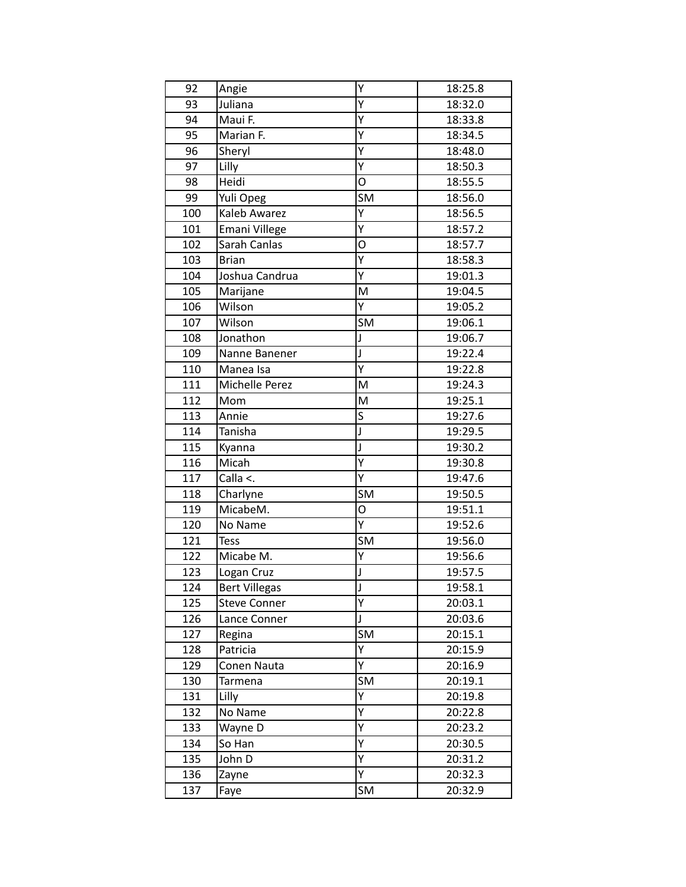| 92               | Angie                  | Υ                       | 18:25.8            |
|------------------|------------------------|-------------------------|--------------------|
| 93               | Juliana                | Y                       | 18:32.0            |
| 94               | Maui F.                | $\overline{Y}$          | 18:33.8            |
| 95               | Marian F.              | Υ                       | 18:34.5            |
| 96               | Sheryl                 | Y                       | 18:48.0            |
| 97               | Lilly                  | Ÿ                       | 18:50.3            |
| 98               | Heidi                  | O                       | 18:55.5            |
| 99               | Yuli Opeg              | <b>SM</b>               | 18:56.0            |
| 100              | Kaleb Awarez           | Υ                       | 18:56.5            |
| 101              | Emani Villege          | Υ                       | 18:57.2            |
| 102              | Sarah Canlas           | O                       | 18:57.7            |
| 103              | <b>Brian</b>           | $\overline{Y}$          | 18:58.3            |
| 104              | Joshua Candrua         | Υ                       | 19:01.3            |
| 105              | Marijane               | M                       | 19:04.5            |
| 106              | Wilson                 | Ÿ                       | 19:05.2            |
| 107              | Wilson                 | <b>SM</b>               | 19:06.1            |
| 108              | Jonathon               | J                       | 19:06.7            |
| 109              | Nanne Banener          | J                       | 19:22.4            |
| 110              | Manea Isa              | Υ                       | 19:22.8            |
| 111              | Michelle Perez         | M                       | 19:24.3            |
| 112              | Mom                    | M                       | 19:25.1            |
| 113              | Annie                  | $\overline{\mathsf{s}}$ | 19:27.6            |
| 114              | Tanisha                | J                       | 19:29.5            |
| 115              | Kyanna                 | J                       | 19:30.2            |
| 116              | Micah                  | $\overline{Y}$          | 19:30.8            |
| 117              | Calla <.               | Υ                       | 19:47.6            |
| 118              | Charlyne               | <b>SM</b>               | 19:50.5            |
| 119              | MicabeM.               | O                       | 19:51.1            |
| 120              | No Name                | Υ                       | 19:52.6            |
| $\overline{1}21$ | <b>Tess</b>            | <b>SM</b>               | 19:56.0            |
| 122              | Micabe M.              | Υ                       | 19:56.6            |
| 123              | Logan Cruz             | J                       | 19:57.5            |
| 124              | <b>Bert Villegas</b>   | J                       | 19:58.1            |
| 125              | <b>Steve Conner</b>    | $\overline{Y}$          | 20:03.1            |
| 126              | Lance Conner           | J                       | 20:03.6            |
| 127              | Regina                 | <b>SM</b>               | 20:15.1            |
| 128              | Patricia               | Υ                       | 20:15.9            |
|                  |                        | Υ                       |                    |
| 129<br>130       | Conen Nauta<br>Tarmena | <b>SM</b>               | 20:16.9<br>20:19.1 |
|                  |                        | Ÿ                       |                    |
| 131              | Lilly<br>No Name       |                         | 20:19.8            |
| 132              |                        | Υ                       | 20:22.8            |
| 133              | Wayne D                | Υ                       | 20:23.2            |
| 134              | So Han                 | Υ                       | 20:30.5            |
| 135              | John D                 | Υ                       | 20:31.2            |
| 136              | Zayne                  | Υ                       | 20:32.3            |
| 137              | Faye                   | SM                      | 20:32.9            |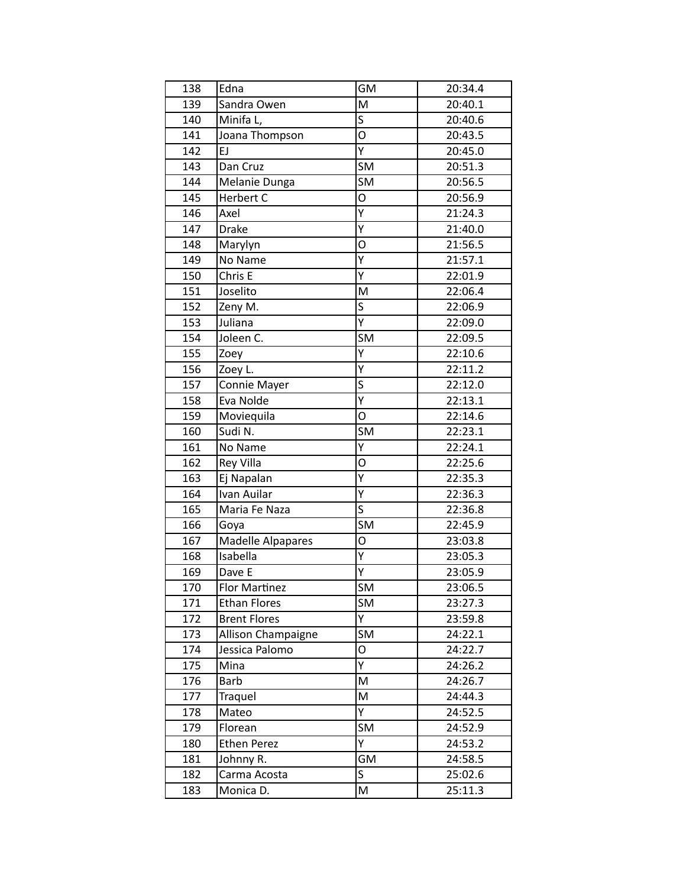| 138 | Edna                | <b>GM</b>               | 20:34.4 |
|-----|---------------------|-------------------------|---------|
| 139 | Sandra Owen         | M                       | 20:40.1 |
| 140 | Minifa L,           | $\overline{\mathsf{s}}$ | 20:40.6 |
| 141 | Joana Thompson      | O                       | 20:43.5 |
| 142 | EJ                  | Ÿ                       | 20:45.0 |
| 143 | Dan Cruz            | SM                      | 20:51.3 |
| 144 | Melanie Dunga       | <b>SM</b>               | 20:56.5 |
| 145 | Herbert C           | O                       | 20:56.9 |
| 146 | Axel                | $\overline{Y}$          | 21:24.3 |
| 147 | <b>Drake</b>        | Υ                       | 21:40.0 |
| 148 | Marylyn             | O                       | 21:56.5 |
| 149 | No Name             | $\overline{Y}$          | 21:57.1 |
| 150 | Chris E             | Υ                       | 22:01.9 |
| 151 | Joselito            | M                       | 22:06.4 |
| 152 | Zeny M.             | $\overline{\mathsf{s}}$ | 22:06.9 |
| 153 | Juliana             | $\overline{Y}$          | 22:09.0 |
| 154 | Joleen C.           | <b>SM</b>               | 22:09.5 |
| 155 | Zoey                | Ý                       | 22:10.6 |
| 156 | Zoey L.             | $\overline{Y}$          | 22:11.2 |
| 157 | Connie Mayer        | $\overline{\mathsf{s}}$ | 22:12.0 |
| 158 | Eva Nolde           | Υ                       | 22:13.1 |
| 159 | Moviequila          | O                       | 22:14.6 |
| 160 | Sudi N.             | <b>SM</b>               | 22:23.1 |
| 161 | No Name             | Ý                       | 22:24.1 |
| 162 | <b>Rey Villa</b>    | O                       | 22:25.6 |
| 163 | Ej Napalan          | Υ                       | 22:35.3 |
| 164 | Ivan Auilar         | Y                       | 22:36.3 |
| 165 | Maria Fe Naza       | $\overline{\mathsf{s}}$ | 22:36.8 |
| 166 | Goya                | <b>SM</b>               | 22:45.9 |
| 167 | Madelle Alpapares   | O                       | 23:03.8 |
| 168 | Isabella            | $\overline{Y}$          | 23:05.3 |
| 169 | Dave E              | Υ                       | 23:05.9 |
| 170 | Flor Martinez       | <b>SM</b>               | 23:06.5 |
| 171 | <b>Ethan Flores</b> | <b>SM</b>               | 23:27.3 |
| 172 | <b>Brent Flores</b> | Υ                       | 23:59.8 |
| 173 | Allison Champaigne  | <b>SM</b>               | 24:22.1 |
| 174 | Jessica Palomo      | O                       | 24:22.7 |
| 175 | Mina                | Υ                       | 24:26.2 |
| 176 | Barb                | M                       | 24:26.7 |
| 177 | Traquel             | M                       | 24:44.3 |
| 178 | Mateo               | Υ                       | 24:52.5 |
| 179 | Florean             | <b>SM</b>               | 24:52.9 |
| 180 | <b>Ethen Perez</b>  | Y                       | 24:53.2 |
| 181 | Johnny R.           | GM                      | 24:58.5 |
| 182 | Carma Acosta        | S                       | 25:02.6 |
| 183 | Monica D.           | M                       | 25:11.3 |